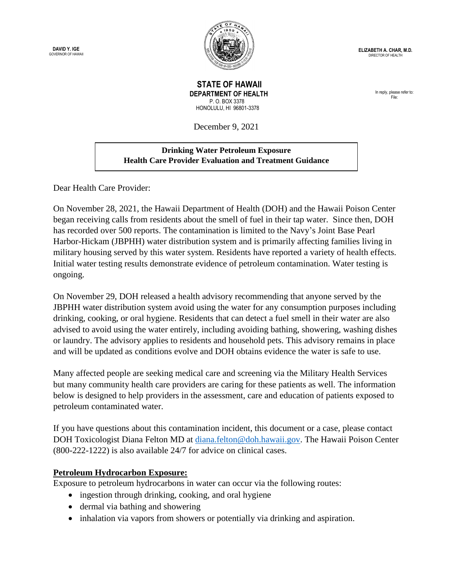**DAVID Y. IGE** GOVERNOR OF HAWAI



**ELIZABETH A. CHAR, M.D.** DIRECTOR OF HEALTH

 **STATE OF HAWAII DEPARTMENT OF HEALTH** P. O. BOX 3378 HONOLULU, HI 96801-3378

December 9, 2021

## **Drinking Water Petroleum Exposure Health Care Provider Evaluation and Treatment Guidance**

Dear Health Care Provider:

On November 28, 2021, the Hawaii Department of Health (DOH) and the Hawaii Poison Center began receiving calls from residents about the smell of fuel in their tap water. Since then, DOH has recorded over 500 reports. The contamination is limited to the Navy's Joint Base Pearl Harbor-Hickam (JBPHH) water distribution system and is primarily affecting families living in military housing served by this water system. Residents have reported a variety of health effects. Initial water testing results demonstrate evidence of petroleum contamination. Water testing is ongoing.

On November 29, DOH released a health advisory recommending that anyone served by the JBPHH water distribution system avoid using the water for any consumption purposes including drinking, cooking, or oral hygiene. Residents that can detect a fuel smell in their water are also advised to avoid using the water entirely, including avoiding bathing, showering, washing dishes or laundry. The advisory applies to residents and household pets. This advisory remains in place and will be updated as conditions evolve and DOH obtains evidence the water is safe to use.

Many affected people are seeking medical care and screening via the Military Health Services but many community health care providers are caring for these patients as well. The information below is designed to help providers in the assessment, care and education of patients exposed to petroleum contaminated water.

If you have questions about this contamination incident, this document or a case, please contact DOH Toxicologist Diana Felton MD at [diana.felton@doh.hawaii.gov.](mailto:diana.felton@doh.hawaii.gov) The Hawaii Poison Center (800-222-1222) is also available 24/7 for advice on clinical cases.

## **Petroleum Hydrocarbon Exposure:**

Exposure to petroleum hydrocarbons in water can occur via the following routes:

- ingestion through drinking, cooking, and oral hygiene
- dermal via bathing and showering
- inhalation via vapors from showers or potentially via drinking and aspiration.

In reply, please refer to: File: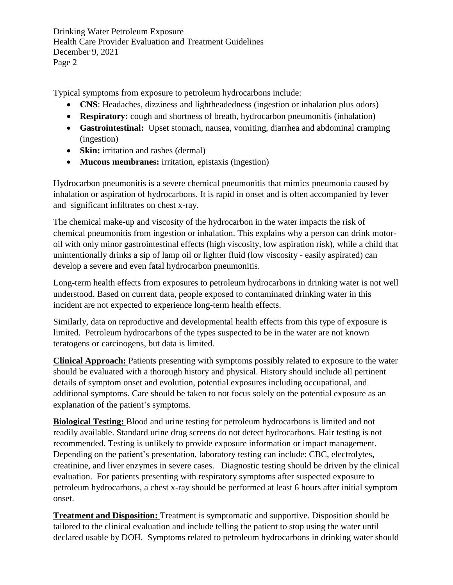Drinking Water Petroleum Exposure Health Care Provider Evaluation and Treatment Guidelines December 9, 2021 Page 2

Typical symptoms from exposure to petroleum hydrocarbons include:

- **CNS**: Headaches, dizziness and lightheadedness (ingestion or inhalation plus odors)
- **Respiratory:** cough and shortness of breath, hydrocarbon pneumonitis (inhalation)
- **Gastrointestinal:** Upset stomach, nausea, vomiting, diarrhea and abdominal cramping (ingestion)
- **Skin:** irritation and rashes (dermal)
- **Mucous membranes:** irritation, epistaxis (ingestion)

Hydrocarbon pneumonitis is a severe chemical pneumonitis that mimics pneumonia caused by inhalation or aspiration of hydrocarbons. It is rapid in onset and is often accompanied by fever and significant infiltrates on chest x-ray.

The chemical make-up and viscosity of the hydrocarbon in the water impacts the risk of chemical pneumonitis from ingestion or inhalation. This explains why a person can drink motoroil with only minor gastrointestinal effects (high viscosity, low aspiration risk), while a child that unintentionally drinks a sip of lamp oil or lighter fluid (low viscosity - easily aspirated) can develop a severe and even fatal hydrocarbon pneumonitis.

Long-term health effects from exposures to petroleum hydrocarbons in drinking water is not well understood. Based on current data, people exposed to contaminated drinking water in this incident are not expected to experience long-term health effects.

Similarly, data on reproductive and developmental health effects from this type of exposure is limited. Petroleum hydrocarbons of the types suspected to be in the water are not known teratogens or carcinogens, but data is limited.

**Clinical Approach:** Patients presenting with symptoms possibly related to exposure to the water should be evaluated with a thorough history and physical. History should include all pertinent details of symptom onset and evolution, potential exposures including occupational, and additional symptoms. Care should be taken to not focus solely on the potential exposure as an explanation of the patient's symptoms.

**Biological Testing:** Blood and urine testing for petroleum hydrocarbons is limited and not readily available. Standard urine drug screens do not detect hydrocarbons. Hair testing is not recommended. Testing is unlikely to provide exposure information or impact management. Depending on the patient's presentation, laboratory testing can include: CBC, electrolytes, creatinine, and liver enzymes in severe cases. Diagnostic testing should be driven by the clinical evaluation. For patients presenting with respiratory symptoms after suspected exposure to petroleum hydrocarbons, a chest x-ray should be performed at least 6 hours after initial symptom onset.

**Treatment and Disposition:** Treatment is symptomatic and supportive. Disposition should be tailored to the clinical evaluation and include telling the patient to stop using the water until declared usable by DOH. Symptoms related to petroleum hydrocarbons in drinking water should